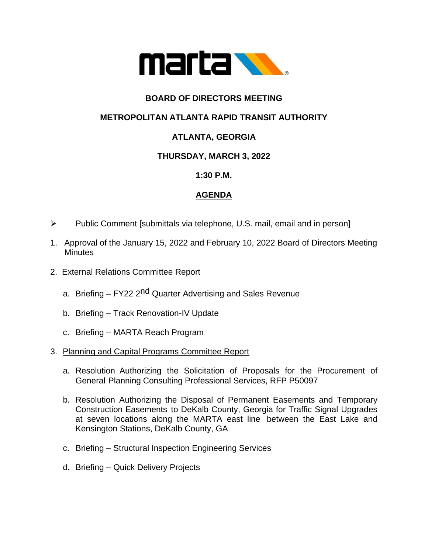

## **BOARD OF DIRECTORS MEETING**

## **METROPOLITAN ATLANTA RAPID TRANSIT AUTHORITY**

# **ATLANTA, GEORGIA**

### **THURSDAY, MARCH 3, 2022**

#### **1:30 P.M.**

### **AGENDA**

- ➢ Public Comment [submittals via telephone, U.S. mail, email and in person]
- 1. Approval of the January 15, 2022 and February 10, 2022 Board of Directors Meeting **Minutes**
- 2. External Relations Committee Report
	- a. Briefing FY22 2<sup>nd</sup> Quarter Advertising and Sales Revenue
	- b. Briefing Track Renovation-IV Update
	- c. Briefing MARTA Reach Program

#### 3. Planning and Capital Programs Committee Report

- a. Resolution Authorizing the Solicitation of Proposals for the Procurement of General Planning Consulting Professional Services, RFP P50097
- b. Resolution Authorizing the Disposal of Permanent Easements and Temporary Construction Easements to DeKalb County, Georgia for Traffic Signal Upgrades at seven locations along the MARTA east line between the East Lake and Kensington Stations, DeKalb County, GA
- c. Briefing Structural Inspection Engineering Services
- d. Briefing Quick Delivery Projects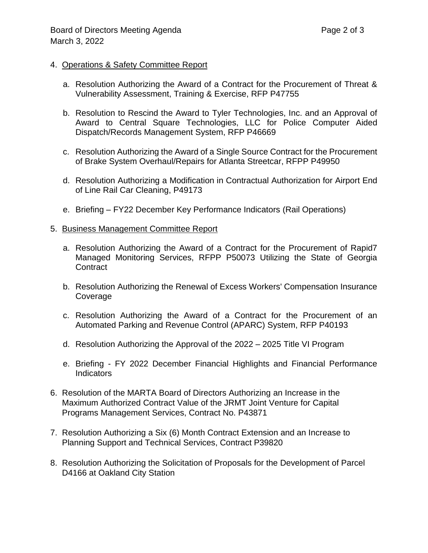#### 4. Operations & Safety Committee Report

- a. Resolution Authorizing the Award of a Contract for the Procurement of Threat & Vulnerability Assessment, Training & Exercise, RFP P47755
- b. Resolution to Rescind the Award to Tyler Technologies, Inc. and an Approval of Award to Central Square Technologies, LLC for Police Computer Aided Dispatch/Records Management System, RFP P46669
- c. Resolution Authorizing the Award of a Single Source Contract for the Procurement of Brake System Overhaul/Repairs for Atlanta Streetcar, RFPP P49950
- d. Resolution Authorizing a Modification in Contractual Authorization for Airport End of Line Rail Car Cleaning, P49173
- e. Briefing FY22 December Key Performance Indicators (Rail Operations)

#### 5. Business Management Committee Report

- a. Resolution Authorizing the Award of a Contract for the Procurement of Rapid7 Managed Monitoring Services, RFPP P50073 Utilizing the State of Georgia **Contract**
- b. Resolution Authorizing the Renewal of Excess Workers' Compensation Insurance Coverage
- c. Resolution Authorizing the Award of a Contract for the Procurement of an Automated Parking and Revenue Control (APARC) System, RFP P40193
- d. Resolution Authorizing the Approval of the 2022 2025 Title VI Program
- e. Briefing FY 2022 December Financial Highlights and Financial Performance **Indicators**
- 6. Resolution of the MARTA Board of Directors Authorizing an Increase in the Maximum Authorized Contract Value of the JRMT Joint Venture for Capital Programs Management Services, Contract No. P43871
- 7. Resolution Authorizing a Six (6) Month Contract Extension and an Increase to Planning Support and Technical Services, Contract P39820
- 8. Resolution Authorizing the Solicitation of Proposals for the Development of Parcel D4166 at Oakland City Station